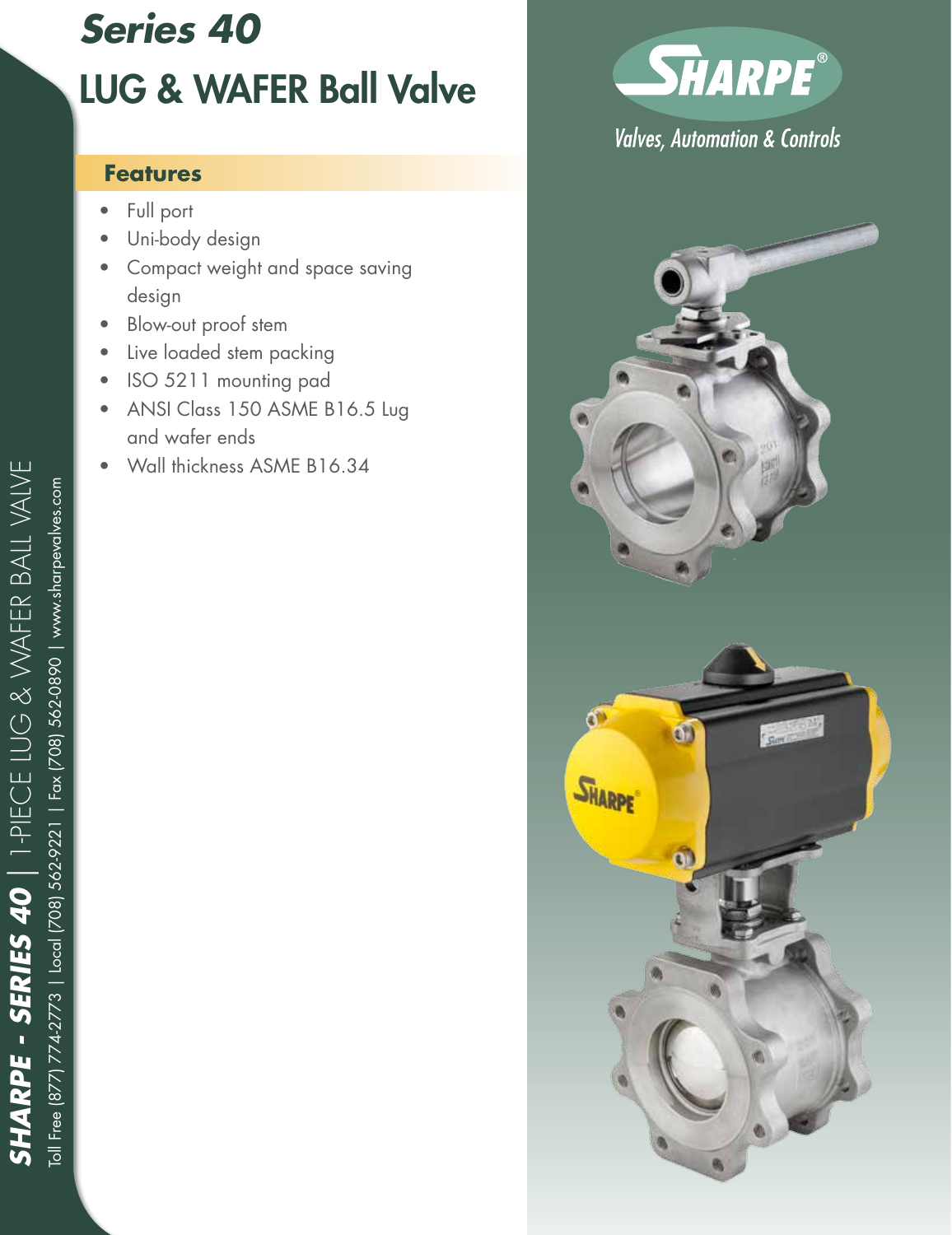# *Series 40* LUG & WAFER Ball Valve

#### **Features**

- Full port
- Uni-body design
- Compact weight and space saving design
- Blow-out proof stem
- Live loaded stem packing
- ISO 5211 mounting pad
- ANSI Class 150 ASME B16.5 Lug and wafer ends
- Wall thickness ASME B16.34



## **Valves, Automation & Controls**

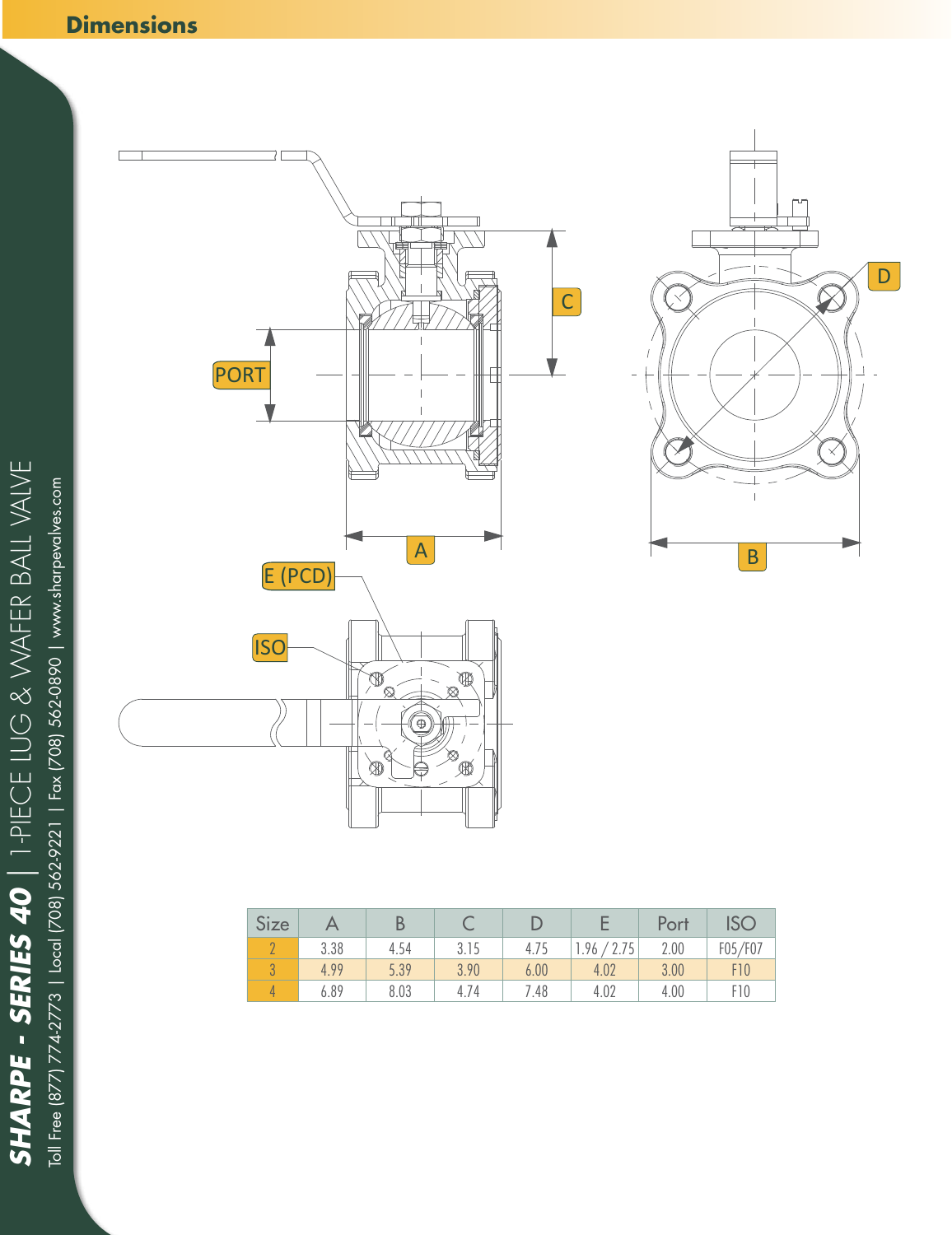## **Dimensions**





| Size |      |      |      |      |             | Port | <b>ISC</b>      |
|------|------|------|------|------|-------------|------|-----------------|
|      | 3.38 | 4.54 | 3.15 | 4.75 | 2.75<br>.96 | 2.00 | F05/F07         |
|      | 4.99 | 5.39 | 3.90 | 6.00 | 4.02        | 3.00 | F10             |
|      | 6.89 | 8.03 | 4.74 | .48  | 4.02        | 4.00 | F <sub>10</sub> |

*SHARPE - SERIES 40 |* 1-PIECE LUG & WAFER BALL VALVE **SHARPE - SERIES 40** | 1-PIECE LUG & WAFER BALL VALVE<br>Toll Free (877) 7742773 | Local (708) 562-9221 | Fax (708) 562-0890 | www.sharpevalves.com Toll Free (877) 774-2773 | Local (708) 562-9221 | Fax (708) 562-0890 | www.sharpevalves.com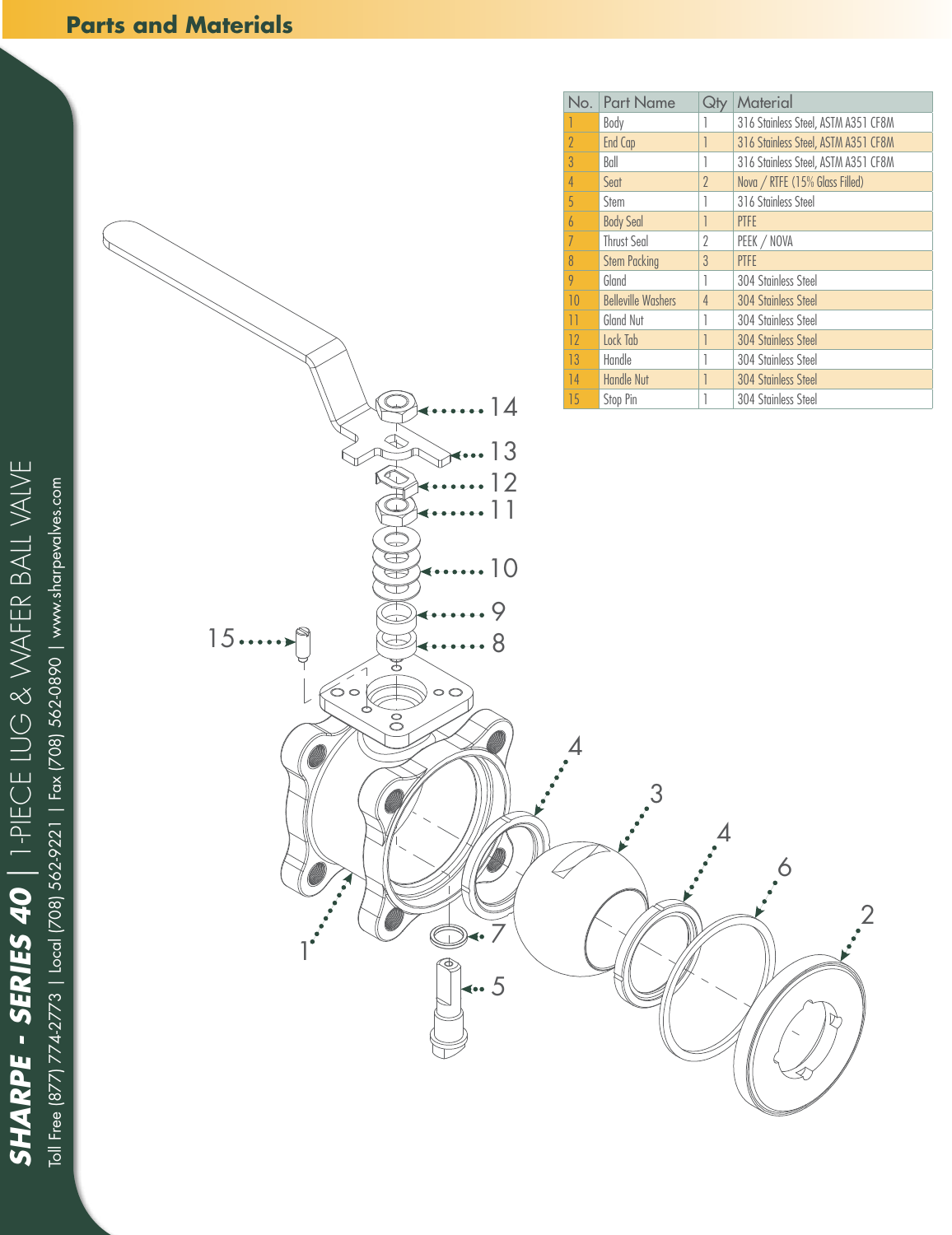